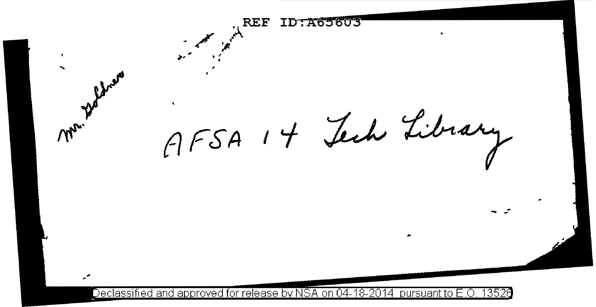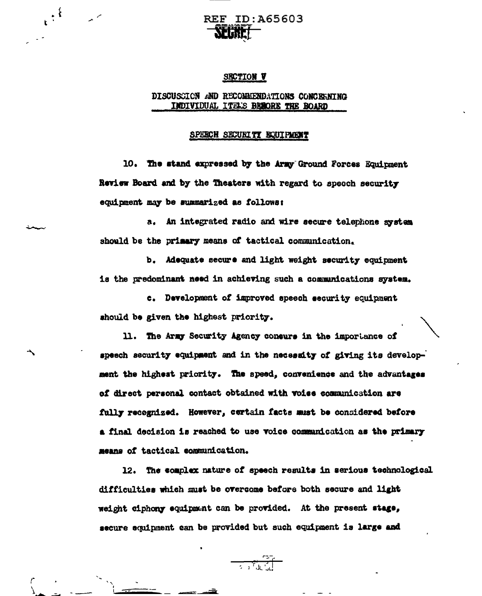

## **SECTION V**

# DISCUSCION AND RECOMMENDATIONS CONCERNING INDIVIDUAL ITELS BESORE THE BOARD

#### SPEECH SECURITY EQUIPMENT

10. The stand expressed by the Army Ground Forces Equipment Review Board and by the Theaters with regard to speech security equipment may be summarized as follows:

a. An integrated radio and wire secure telephone system should be the primary means of tactical communication.

b. Adequate secure and light weight security equipment is the predominant need in achieving such a communications system.

c. Development of improved speech security equipment should be given the highest priority.

11. The Army Security Agency concurs in the importance of speech security equipment and in the necessity of giving its development the highest priority. The speed, convenience and the advantages of direct personal contact obtained with voise communication are fully recognized. However, certain facts must be considered before a final decision is reached to use voice communication as the primary means of tactical communication.

12. The complex nature of speech results in serious technological difficulties which must be overcome before both secure and light weight ciphony equipment can be provided. At the present stage, secure equipment can be provided but such equipment is large and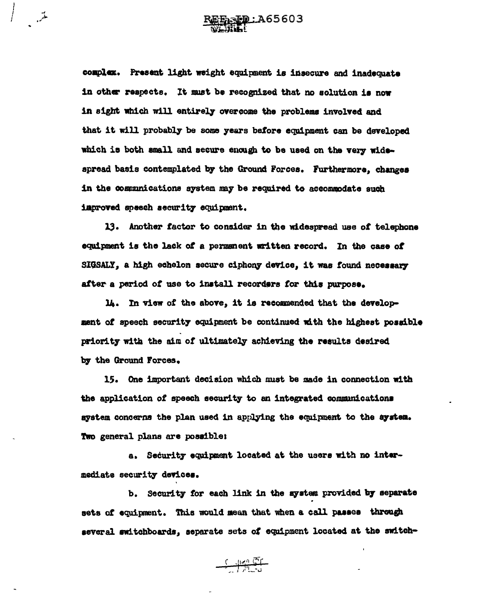و.<br>مشمل

complex. Present light weight equipment is insecure and inadequate in other respects. It must be recognized that no solution is now in sight which will entirely overcome the problems involved and that it will probably be some years before equipment can be developed which is both small and secure enough to be used on the very widespread basis contemplated by the Ground Forces. Furthermore, changes in the communications system may be required to accommodate such improved speech security equipment.

13. Another factor to consider in the widespread use of telephone equipment is the lack of a permanent written record. In the case of SIGSALY, a high echelon secure ciphony device, it was found necessary after a period of use to install recorders for this purpose.

14. In view of the above, it is recommended that the development of speech security equipment be continued with the highest possible priority with the aim of ultimately achieving the results desired by the Ground Forces.

15. One important decision which must be made in connection with the application of speech security to an integrated communications system concerns the plan used in applying the equipment to the system. Two general plans are possible:

a. Security equipment located at the users with no intermediate security devices.

b. Security for each link in the system provided by separate sets of equipment. This would mean that when a call passes through several switchboards, separate sets of equipment located at the switch-

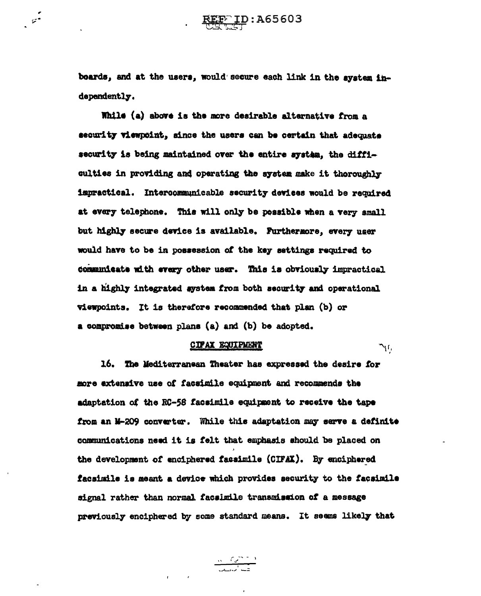boards, and at the users, would secure each link in the system independently.

 $\mathcal{L}^{\bullet}$ 

While (a) above is the more desirable alternative from a security viempoint, since the users can be certain that adequate security is being maintained over the entire system, the difficulties in providing and operating the system make it thoroughly impractical. Intercommunicable security devices would be required at every telephone. This will only be possible when a very small but highly secure device is available. Furthermore, every user would have to be in possession of the key settings required to communicate with every other user. This is obviously impractical in a highly integrated system from both security and operational viewpoints. It is therefore recommended that plan (b) or a compromise between plans (a) and (b) be adopted.

## **CIPAX EQUIPMENT**

، ایل

16. The Mediterranean Theater has expressed the desire for more extensive use of facsimile equipment and recommends the adaptation of the RC-58 facsimile equipment to receive the tape from an M-209 converter. While this adaptation may serve a definite communications need it is felt that emphasis should be placed on the development of enciphered facaimile (CIFAX). By enciphered facsimile is meant a device which provides security to the facsimile signal rather than normal facsimile transmission of a message previously enciphered by some standard means. It seems likely that

 $\frac{m\left(\frac{C}{\sqrt{2}}\right)^{m-1}}{\sqrt{2\pi\sqrt{2}}\sqrt{m^2}}$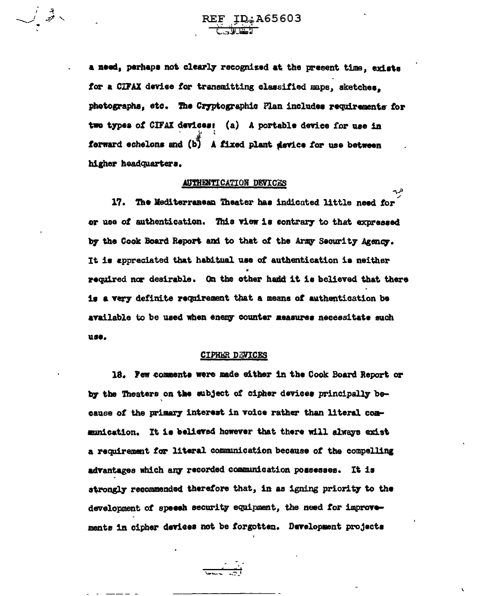$\bigcup_{i=1}^n \mathbb{Z}^2 \times$ 

a need, perhaps not clearly recognized at the present time, exists for a CIFAX device for transmitting classified maps, sketches. photographs, etc. The Cryptographic Plan includes requirements for two types of CIFAX devices: (a) A portable device for use in forward echelons and (b) A fixed plant device for use between higher headquarters.

#### AUTHENTICATION DEVICES

17. The Mediterranean Theater has indicated little need for or use of authentication. This view is contrary to that expressed by the Cook Board Report and to that of the Army Security Agency. It is appreciated that habitual use of authentication is neither required nor desirable. On the other hand it is believed that there is a very definite requirement that a means of authentication be available to be used when enemy counter measures necessitate such use.

## **CIPHER DEVICES**

18. Pew comments were made either in the Cook Board Report or by the Theaters on the subject of cipher devices principally because of the primary interest in voice rather than literal communication. It is believed however that there will always exist a requirement for literal communication because of the compelling advantages which any recorded communication possesses. It is strongly recommended therefore that, in as igning priority to the development of speech security equipment, the need for improvements in cipher devices not be forgotten. Development projects